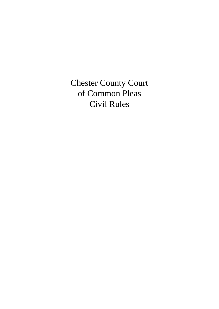Chester County Court of Common Pleas Civil Rules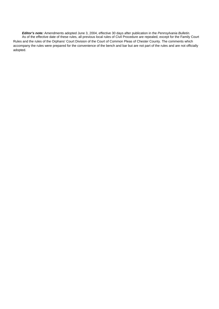*Editor's note:* Amendments adopted June 3, 2004, effective 30 days after publication in the *Pennsylvania Bulletin.*  As of the effective date of these rules, all previous local rules of Civil Procedure are repealed, except for the Family Court Rules and the rules of the Orphans' Court Division of the Court of Common Pleas of Chester County. The comments which accompany the rules were prepared for the convenience of the bench and bar but are not part of the rules and are not officially adopted.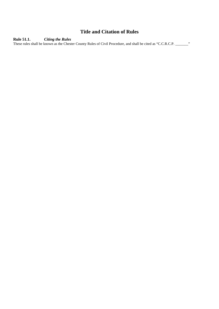# **Title and Citation of Rules**

**Rule 51.1.** *Citing the Rules* 

These rules shall be known as the Chester County Rules of Civil Procedure, and shall be cited as "C.C.R.C.P. \_\_\_\_\_\_\_"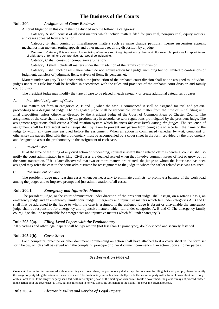# **The Business of the Courts**

#### **Rule 200.** *Assignment of Court Business*

All civil litigation in this court shall be divided into the following categories:

Category A shall consist of all civil matters which include matters filed for jury trial, non-jury trial, equity matters, and cases appealed from arbitration.

Category B shall consist of miscellaneous matters such as name change petitions, license suspension appeals, mechanics lien matters, zoning appeals and other matters requiring disposition by a judge.

*Comment:* Category B is not an exclusive listing of matters requiring disposition by the court. For example, petitions for appointment of arbitrators or for minor's compromise, etc. would be includable.

Category C shall consist of compulsory arbitrations.

Category D shall include all matters under the jurisdiction of the family court division.

Category E shall include all matters which do not require action by a judge, including but not limited to confessions of judgment, transfers of judgment, liens, waivers of liens, lis pendens, etc.

Matters under category D and those within the jurisdiction of the orphans' court division shall not be assigned to individual judges under this rule but shall be handled in accordance with the rules and practices of the orphans' court division and family court division.

The president judge may modify the type of case to be placed in each category or create additional categories of cases.

#### A. *Individual Assignment of Cases*

For matters set forth in categories A, B and C, when the case is commenced it shall be assigned for trial and pre-trial proceedings to a designated judge. The designated judge shall be responsible for the matter from the time of initial filing until final disposition, unless otherwise directed by the President Judge of the Court of Common Pleas of Chester County. The assignment of the case shall be made by the prothonotary in accordance with regulations promulgated by the president judge. The assignment regulations shall create a blind rotation system which balances *the case loads among the judges.* The sequence of assignment shall be kept secret and all steps shall by taken to prevent any person from being able to ascertain the name of the judge to whom any case may assigned before the assignment. When an action is commenced (whether by writ, complaint or otherwise) the papers filed with the prothonotary must be accompanied by a cover sheet in the form provided by the prothonotary and designed to assist the prothonotary in the assignment of each case.

#### B. *Related Cases*

If, at the time of the filing of any civil action or proceeding, counsel is aware that a related claim is pending, counsel shall so notify the court administrator in writing. Civil cases are deemed related when they involve common issues of fact or grow out of the same transaction. If it is later discovered that two or more matters are related, the judge to whom the latter case has been assigned may refer the case to the court administrator for reassignment to the judge to whom the earlier related case was assigned.

#### C. *Reassignment of Cases*

The president judge may reassign cases whenever necessary to eliminate conflicts, to promote a balance of the work load among the judges and to improve prompt and just administration of all cases.

#### **Rule 200.1.** *Emergency and Injunctive Matters*

The president judge, or the court administrator under direction of the president judge, shall assign, on a rotating basis, an emergency judge and an emergency family court judge. Emergency and injunctive matters which fall under categories A, B and C shall first be addressed to the judge to whom the case is assigned. If the assigned judge is absent or unavailable the emergency judge shall be responsible for emergency and injunctive matters which fall under categories A, B and C. The emergency family court judge shall be responsible for emergencies and injunctive matters which fall under category D.

#### **Rule 205.2(a).** *Filing Legal Papers with the Prothonotary*

All pleadings and other legal papers shall be typewritten (not less than 12 point type), double-spaced and securely fastened.

### **Rule 205.2(b).** *Cover Sheet*

Each complaint, praecipe or other document commencing an action shall have attached to it a cover sheet in the form set forth below, which shall be served with the complaint, praecipe or other document commencing an action upon all other parties.

*See Form A on Page 61*

*Comment:* If an action is commenced without attaching such cover sheet, the prothonotary shall accept the document for filing, but shall promptly thereafter notify the lawyer or party filing the action to file a cover sheet. The Prothonotary, in such notice, shall provide the lawyer or party with a form of cover sheet and a copy of this Local Rule. If the lawyer or party shall fail, within twenty (20) days of the mailing of such notice, to file a cover sheet, the plaintiff may not proceed further in the action until the cover sheet is filed, but this rule shall in no way affect the obligation of the plaintiff to serve the original process.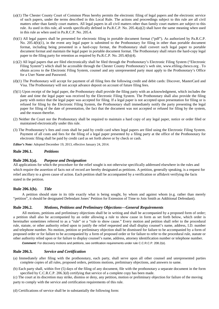- (a)(1) The Chester County Court of Common Pleas hereby permits the electronic filing of legal papers and the electronic service of such papers, under the terms described in this Local Rule. The actions and proceedings subject to this rule are all civil matters other than family court matters. All legal papers in all civil matters other than family court matters are subject to this rule. As used in this rule, all words specifically defined in Pa.R.C.P. No. 205.4(a)(2) shall have the same meaning when used in this rule as when used in Pa.R.C.P. No. 205.4.
- (b)(1) All legal papers shall be presented for electronic filing in portable document format ("pdf"). As authorized by Pa.R.C.P. No. 205.4(b)(1), in the event any legal paper is submitted to the Prothonotary for filing in other than portable document format, including being presented in a hard-copy format, the Prothonotary shall convert such legal paper to portable document format and maintain the legal paper in portable document format. The Prothonotary shall return the hard-copy legal paper to the filing party for retention as required by Pa.R.C.P. No. 205.4(b)(4).
- (c)(2) All legal papers that are filed electronically shall be filed through the Prothonotary's Electronic Filing System ("Electronic Filing System") which shall be accessible through the Chester County Prothonotary's web site, www.efiling.chesco.org . To obtain access to the Electronic Filing System, counsel and any unrepresented party must apply to the Prothonotary's Office for a User Name and Password.
- (d)(1) The Prothonotary will accept for payment of all filing fees the following credit and debit cards: Discover, MasterCard and Visa. The Prothonotary will not accept advance deposit on account of future filing fees.
- $(f)(1)$  Upon receipt of the legal paper, the Prothonotary shall provide the filing party with an acknowledgment, which includes the date and time the legal paper was received by the Electronic Filing System. The Prothonotary shall also provide the filing party with notice that the legal paper was accepted for filing. If a legal paper is not accepted upon presentation for filing or is refused for filing by the Electronic Filing System, the Prothonotary shall immediately notify the party presenting the legal paper for filing of the date of presentation, the fact that the document was not accepted or refused for filing by the system, and the reason therefor.
- (2) Neither the Court nor the Prothonotary shall be required to maintain a hard copy of any legal paper, notice or order filed or maintained electronically under this rule.
- (3) The Prothonotary's fees and costs shall be paid by credit card when legal papers are filed using the Electronic Filing System. Payment of all costs and fees for the filing of a legal paper presented by a filing party at the office of the Prothonotary for electronic filing shall be paid by credit card as set forth above or by check or cash.

*Editor's Note:* Adopted December 19, 2013, effective January 24, 2014.

### **Rule 206.1.** *Petitions*

### **Rule 206.1(a).** *Purpose and Designation*

All applications for which the procedure for the relief sought is not otherwise specifically addressed elsewhere in the rules and which require the assertion of facts not of record are hereby designated as petitions. A petition, generally speaking, is a request for relief ancillary to a given cause of action. Each petition shall be accompanied by a verification or affidavit verifying the facts stated in the petition.

#### **Rule 206.1(b).** *Title*

A petition should state in its title exactly what is being sought, by whom and against whom (e.g. rather than merely "petition", it should be designated Defendant Jones' Petition for Extension of Time to Join Smith as Additional Defendant).

#### **Rule 206.2.** *Motions, Petitions and Preliminary Objections—General Requirements*

All motions, petitions and preliminary objections shall be in writing and shall be accompanied by a proposed form of order; a petition shall also be accompanied by an order allowing a rule to show cause in form as set forth below, which order is hereinafter sometimes referred to as a "rule" or a "rule to show cause." Every motion and petition shall refer to the procedural rule, statute, or other authority relied upon to justify the relief requested and shall display counsel's name, address, I.D. number and telephone number. No motion, petition or preliminary objection shall be dismissed for failure to be accompanied by a form of proposed order or for failure to be accompanied by a form of proposed order or for failure to refer to the procedural rule, statute or other authority relied upon or for failure to display counsel's name, address, attorney identification number or telephone number.

*Comment:* For discovery motions and petitions, see certification requirements under rule C.C.R.C.P. 208.2(e).

#### **Rule 206.3.** *Service and Certification*

- (a) Immediately after filing with the prothonotary, each party, shall serve upon all other counsel and unrepresented parties complete copies of all rules, proposed orders, petitions motions, preliminary objections, and answers to same.
- (b) Each party shall, within five (5) days of the filing of any document, file with the prothonotary a separate document in the form specified by C.C.R.C.P. 206.3(d) certifying that service of a complete copy has been made.

(c) The court at its discretion may strike, dismiss or deny, any petition, motion or preliminary objection for failure of the moving party to comply with the service and certification requirements of this rule.

(d) Certifications of service shall be in substantially the following form: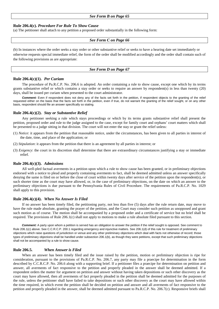#### **Rule 206.4(c).** *Procedure For Rule To Show Cause*

(a) The petitioner shall attach to any petition a proposed order substantially in the following form:

#### *See Form C on Page 66*

(b) In instances where the order seeks a stay order or other substantive relief or seeks to have a hearing date set immediately or otherwise requests special immediate relief, the form of the order shall be modified accordingly and the order shall contain such of the following provisions as are appropriate:

#### *See Form D on Page 67*

### **Rule 206.4(c)(1).** *Per Curiam*

The procedure of Pa.R.C.P. No. 206.6 is adopted. An order containing a rule to show cause, except one which by its terms grants substantive relief or which contains a stay order or seeks to require an answer by respondent(s) in less than twenty (20) days, shall be issued per curiam when presented to the court administrator.

Comment: Even if respondent does not deny any of the facts set forth in the petition, if respondent objects to the granting of the relief requested either on the basis that the facts set forth in the petition, even if true, do not warrant the granting of the relief sought, or on any other basis, respondent should file an answer specifically so stating.

#### **Rule 206.4(c)(2).** *Stay or Substantive Relief*

Any petitioner seeking a rule which stays proceedings or which by its terms grants substantive relief shall present the petition, proposed order and rule to the judge assigned to the case, except for family court and orphans' court matters which shall be presented to a judge sitting in that division. The court will not enter the stay or grant the relief unless:

- (1) *Notice*: it appears from the petition that reasonable notice, under the circumstances, has been given to all parties in interest of the date, time, and place of the application; or
- (2) *Stipulation*: it appears from the petition that there is an agreement by all parties in interest; or
- (3) *Exigency*: the court in its discretion shall determine that there are extraordinary circumstances justifying a stay or immediate relief.

#### **Rule 206.4(c)(3).** *Admissions*

All well-pled factual averments in a petition upon which a rule to show cause has been granted, or in preliminary objections endorsed with a notice to plead and properly containing averments to fact, shall be deemed admitted unless an answer specifically denying the same is filed on or before the close of court within twenty days after service of the petition upon the respondent(s), or such shorter time as the court may have allowed, or, in the case of preliminary objections, on the date on which an answer to the preliminary objections is due pursuant to the Pennsylvania Rules of Civil Procedure. The requirements of Pa.R.C.P. No. 1029 shall apply to this provision.

#### **Rule 206.4(c)(4).** *When No Answer Is Filed*

If no answer has been timely filed, the petitioning party, not less than five (5) days after the rule return date, may move to have the rule made absolute, granting the prayer of the petition, and the Court may consider such petition as unopposed and grant such motion as of course. The motion shall be accompanied by a proposed order and a certificate of service but no brief shall be required. The provisions of Rule 206.1(c) shall not apply to motions to make a rule absolute filed pursuant to this section.

*Comment:* A party upon whom a petition is served has an obligation to answer the petition if the relief sought is opposed. See comment to Rule 206.1(c) above. See C.C.R.C.P. 200.1 regarding emergency and injunctive matters. See 206.1(d) of this rule for treatment of preliminary objections which raise questions of jurisdiction or venue and any other preliminary objections which deal with facts not otherwise of record; those types of preliminary objections shall be handled under subsection 206.1(b), as though they were petitions, except that such preliminary objections shall not be accompanied by a rule to show cause.

#### **Rule 206.5.** *When Answer is Filed*

When an answer has been timely filed and the issue raised by the petition, motion or preliminary objection is ripe for consideration, pursuant to the provisions of Pa.R.C.P. No. 206.7, any party may file a praecipe for determination in the form described by C.C.R.C.P. No. 206.6 along with a supporting brief. If a petitioner files a praecipe for determination on petition and answer, all averments of fact responsive to the petition and properly pleaded in the answer shall be deemed admitted. If a respondent orders the matter for argument on petition and answer without having taken depositions or such other discovery as the court may have allowed, then all averments of fact properly pleaded in the petition shall be deemed admitted for the purposes of the rule, unless the petitioner shall have failed to take depositions or such other discovery as the court may have allowed within the time required, in which event the petition shall be decided on petition and answer and all averments of fact responsive to the petition and properly pleaded in the answer, shall be deemed admitted pursuant to Pa.R.C.P. No. 206.7(c). Responsive briefs shall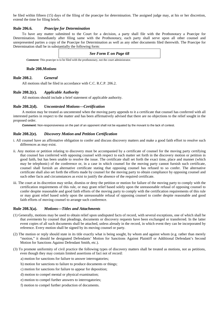be filed within fifteen (15) days of the filing of the praecipe for determination. The assigned judge may, at his or her discretion, extend the time for filing briefs.

#### **Rule 206.6.** *Praecipe for Determination*

To have any matter submitted to the Court for a decision, a party shall file with the Prothonotary a Praecipe for Determination. Immediately after filing same with the Prothonotary, each party shall serve upon all other counsel and unrepresented parties a copy of the Praecipe for Determination as well as any other documents filed therewith. The Praecipe for Determination shall be in substantially the following form:

### *See Form E on Page 68*

*Comment:* This praecipe is to be filed with the prothonotary, not the court administrator.

#### **Rule 208.***Motions*

### **Rule 208.2.** *General*

All motions shall be filed in accordance with C.C. R.C.P. 206.2.

### **Rule 208.2(c).** *Applicable Authority*

All motions should include a brief statement of applicable authority.

### **Rule 208.2(d).** *Uncontested Motions—Certification*

A motion may be treated as uncontested when the moving party appends to it a certificate that counsel has conferred with all interested parties in respect to the matter and has been affirmatively advised that there are no objections to the relief sought in the proposed order.

*Comment:* Non-responsiveness on the part of an opponent shall not be equated by the movant to the lack of contest.

### **Rule 208.2(e).** *Discovery Motion and Petition Certification*

- i. All counsel have an affirmative obligation to confer and discuss discovery matters and make a good faith effort to resolve such differences as may exist.
- ii. Any motion or petition relating to discovery must be accompanied by a certificate of counsel for the moving party certifying that counsel has conferred with opposing counsel with respect to each matter set forth in the discovery motion or petition in good faith, but has been unable to resolve the issue. The certificate shall set forth the exact time, place and manner (which may be telephonic) of the conference or, in a case in which counsel for the moving party cannot furnish such certificate, counsel shall furnish an alternative certificate stating that opposing counsel has refused to so confer. The alternative certificate shall also set forth the efforts made by counsel for the moving party to obtain compliance by opposing counsel and such other facts and circumstances as exist to justify the absence of the required certificate.
- iii. The court at its discretion may strike, dismiss or deny the petition or motion for failure of the moving party to comply with the certification requirements of this rule, or may grant relief based solely upon the unreasonable refusal of opposing counsel to confer despite reasonable and good faith efforts of the moving party to comply with the certification requirements of this rule or may grant relief based solely upon the unreasonable refusal of opposing counsel to confer despite reasonable and good faith efforts of moving counsel to arrange such conference.

### **Rule 208.3(a).** *Motions—Titles and Attachments*

- (1) Generally, motions may be used to obtain relief upon undisputed facts of record, with several exceptions, one of which shall be that averments by counsel that pleadings, documents or discovery requests have been exchanged or transferred. In the latter event copies of all such documents shall be attached, unless already in the record, in which event they can be incorporated by reference. Every motion shall be signed by its moving counsel or party.
- (2) The motion or reply should state in its title exactly what is being sought, by whom and against whom (e.g. rather than merely "motion," it should be designated Defendants' Motion for Sanctions Against Plaintiff or Additional Defendant's Second Motion for Sanctions Against Defendant Smith, etc.).
- (3) To promote uniformity of civil practice the following types of discovery matters shall be treated as motions, not as petitions, even though they may contain limited assertions of fact not of record:
	- a) motion for sanctions for failure to answer interrogatories;
	- b) motion for sanctions to failure to produce documents or things;
	- c) motion for sanctions for failure to appear for deposition;
	- d) motion to compel mental or physical examination;
	- e) motion to compel further answers to interrogatories;
	- f) motion to compel further production of documents.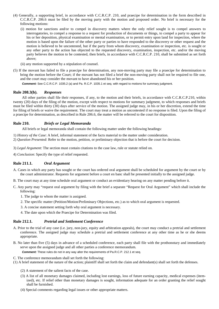- (4) Generally, a supporting brief, in accordance with C.C.R.C.P. 210, and praecipe for determination in the form described in C.C.R.C.P. 206.6 must be filed by the moving party with the motion and proposed order. No brief is necessary for the following motions:
	- (i) motion for sanctions and/or to compel in discovery matters where the only relief sought is to compel answers to interrogatories, to compel a response to a request for production of documents or things, to compel a party to appear for his or her deposition, physical examination or mental examination, or to permit entry upon land for inspection, where the motion is based upon the failure of the other party or parties to have responded to the discovery or other request and the motion is believed to be uncontested, but if the party from whom discovery, examination or inspection, etc. is sought or any other party to the action has objected to the requested discovery, examination, inspection, etc. and/or the moving party believes the motion to be contested, then briefs, in accordance with C.C.R.C.P. 210, shall be submitted as set forth above;
	- (ii) any motion supported by a stipulation of counsel.
- (5) If the movant has failed to file a praecipe for determination, any non-moving party may file a praecipe for determination to bring the motion before the Court; if the movant has not filed a brief the non-moving party shall not be required to file one, and the court may consider the movant to have abandoned his or her position.

*Comment:* See C.C.R.C.P. 1035.2 (a) and Pa. R.C.P. 1035.1 et seq. with regard to motions for summary judgment.

#### **Rule 208.3(b).** *Responses*

All other parties shall file their responses, if any, to the motion and their briefs, in accordance with C.C.R.C.P.210, within twenty (20) days of the filing of the motion, except with respect to motions for summary judgment, to which responses and briefs must be filed within thirty (30) days after service of the motion. The assigned judge may, in his or her discretion, extend the time for filing of briefs or waive the requirement. The court may treat a motion as uncontested if no response is filed. Upon the filing of a praecipe for determination, as described in Rule 206.6, the matter will be referred to the court for disposition.

### **Rule 210.** *Briefs or Legal Memoranda*

All briefs or legal memoranda shall contain the following matter under the following headings:

- 1) *History of the Case*: A brief, informal statement of the facts material to the matter under consideration.
- 2) *Question Presented*: Refer to the motion, petition, or preliminary objection that is before the court for decision.
- 3) *Legal Argument*: The section must contain citations to the case law, rule or statute relied on.
- 4) *Conclusion*: Specify the type of relief requested.

### **Rule 211.1.** *Oral Argument*

- A. Cases in which any party has sought or the court has ordered oral argument shall be scheduled for argument by the court or by the court administrator. Requests for argument before a court en banc shall be presented initially to the assigned judge.
- B. The court may at any time schedule oral argument or conduct an evidentiary hearing on any matter pending before it.
- C. Any party may "request oral argument by filing with the brief a separate "Request for Oral Argument" which shall include the following:
	- 1. The judge to whom the matter is assigned.
	- 2. The specific matter (Petition/Motion/Preliminary Objections, etc.) as to which oral argument is requested.
	- 3. A concise statement setting forth why oral argument is necessary.
	- 4. The date upon which the Praecipe for Determination was filed.

### **Rule 212.1.** *Pretrial and Settlement Conference*

- A. Prior to the trial of any case (i.e. jury, non-jury, equity and arbitration appeals), the court may conduct a pretrial and settlement conference. The assigned judge may schedule a pretrial and settlement conference at any other time as he or she deems appropriate.
- B. No later than five (5) days in advance of a scheduled conference, each party shall file with the prothonotary and immediately serve upon the assigned judge and all other parties a conference memorandum.

**Comment:** These rules do not in any way alter the requirements of Pa.R.C.P. 212.1 et seq.

C. The conference memorandum shall set forth the following:

(1) A brief statement of the nature of the action; plaintiff shall set forth the claim and defendant(s) shall set forth the defenses.

- (2) A statement of the salient facts of the case.
- (3) A list of all monetary damages claimed, including lost earnings, loss of future earning capacity, medical expenses (itemized), etc. If relief other than monetary damages is sought, information adequate for an order granting the relief sought shall be furnished.
- (4) Special comments regarding legal issues or other appropriate matters.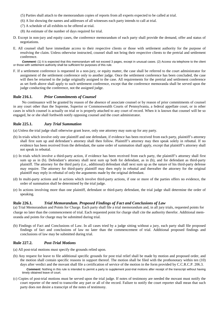- (5) Parties shall attach to the memorandum copies of reports from all experts expected to be called at trial.
- (6) A list showing the names and addresses of all witnesses each party intends to call at trial.
- (7) A schedule of all exhibits to be offered at trial.
- (8) An estimate of the number of days required for trial.
- D. Except in non-jury and equity cases, the conference memorandum of each party shall provide the demand, offer and status of negotiations.
- E. All counsel shall have immediate access to their respective clients or those with settlement authority for the purpose of resolving the claim. Unless otherwise instructed, counsel shall not bring their respective clients to the pretrial and settlement conference.

**Comment:** (1) It is expected that this memorandum will not exceed 3 pages, except in unusual cases. (2) Access via telephone to the client or those with settlement authority shall be sufficient for purposes of this rule.

F. If a settlement conference is requested in a non-jury, or equity matter, the case shall be referred to the court administrator for assignment of the settlement conference only to another judge. Once the settlement conference has been concluded, the case will then be returned to the judge originally assigned to the case. All requirements for the pretrial and settlement conference as set forth above shall apply to such settlement conference, except that the conference memoranda shall be served upon the judge conducting the conference, not the assigned judge.

#### **Rule 216.1.** *Prior Commitments of Counsel*

No continuance will be granted by reason of the absence of associate counsel or by reason of prior commitments of counsel in any court other than the Supreme, Superior or Commonwealth Courts of Pennsylvania, a federal appellate court, or in other cases in which counsel is actually on trial or is properly attached to any court of record. When it is known that counsel will be so engaged, he or she shall forthwith notify opposing counsel and the court administrator.

### **Rule 225.1.** *Jury Trial Summation*

(a) Unless the trial judge shall otherwise grant leave, only one attorney may sum up for any party.

- (b) In trials which involve only one plaintiff and one defendant, if evidence has been received from each party, plaintiff's attorney shall first sum up and defendant's attorney shall then follow. Plaintiff's attorney may then speak solely in rebuttal. If no evidence has been received from the defendant, the same order of summation shall apply, except that plaintiff's attorney shall not speak in rebuttal.
- (c) In trials which involve a third-party action, if evidence has been received from each party, the plaintiff's attorney shall first sum up as in (b). Defendant's attorney shall next sum up both for defendant, as in (b), and for defendant as third-party plaintiff. The attorney for the third party (i.e., additional) defendant shall next sum up as the nature of his third-party defense may require. The attorney for third-party plaintiff may then reply in rebuttal and thereafter the attorney for the original plaintiff may reply in rebuttal of only the arguments made by the original defendant.
- (d) In multi-party actions and in actions which involve third-party actions, if one or more of the parties offers no evidence, the order of summation shall be determined by the trial judge.
- (e) In actions involving more than one plaintiff, defendant or third-party defendant, the trial judge shall determine the order of speaking.

#### **Rule 226.1.** *Trial Memorandum. Proposed Findings of Fact and Conclusions of Law*

(a) Trial Memorandum and Points for Charge. Each party shall file a trial memorandum and, in all jury trials, requested points for charge no later than the commencement of trial. Each requested point for charge shall cite the authority therefor. Additional memoranda and points for charge may be submitted during trial.

(b) Findings of Fact and Conclusions of Law. In all cases tried by a judge sitting without a jury, each party shall file proposed findings of fact and conclusions of law no later than the commencement of trial. Additional proposed findings and conclusions of law may be submitted during trial.

#### **Rule 227.2.** *Post-Trial Motions*

- (a) All post-trial motions must specify the grounds relied upon.
- (b) Any request for leave to file additional specific grounds for post trial relief shall be made by motion and proposed order, and the motion shall contain specific reasons in support thereof. The motion shall be filed with the prothonotary within ten (10) days after verdict and the movant shall file a certification of service of the motion in the form provided by C.C.R.C.P. 206.3. **Comment:** Nothing in this rule is intended to permit a party to supplement post-trial motions after receipt of the transcript without having timely obtained leave of court.
- (c) Copies of post-trial motions must be served upon the trial judge. If notes of testimony are needed the movant must notify the court reporter of the need to transcribe any part or all of the record. Failure to notify the court reporter shall mean that such party does not desire a transcript of the notes of testimony.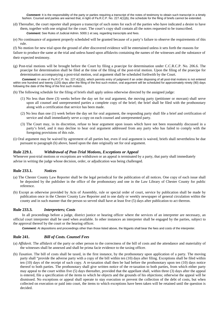*Comment:* It is the responsibility of the party or parties requiring a transcript of the notes of testimony to obtain such transcript in a timely fashion. Counsel and parties are warned that, in light of Pa.R.C.P. No. 227.4(1)(b), the schedule for the filing of briefs cannot be extended.

- (d) Thereafter, the court reporter shall prepare a transcript of such notes for each of the parties who have indicated a desire to have them, together with one original for the court. The court's copy shall contain all the notes requested to be transcribed. **Comment:** See Rules of Judicial Admin. 5000.1 et seq. regarding transcripts and fees.
- (e) No continuance of argument properly scheduled will be granted because of a party's failure to observe the requirements of this rule.

(f) No motion for new trial upon the ground of after discovered evidence will be entertained unless it sets forth the reasons for failure to produce the same at the trial and unless based upon affidavits containing the names of the witnesses and the substance of their expected testimony.

(g) Post-trial motions will be brought before the Court by filing a praecipe for determination under C.C.R.C.P. No. 206.6. The praecipe for determination shall be filed at the time of the filing of the post-trial motion. Upon the filing of the praecipe for determination accompanying a post-trial motion, oral argument shall be scheduled forthwith by the Court.

*Comment:* In view of Pa.R.C.P. No. 227.4(1)(b), which permits entry of judgment if an order disposing of all post-trial motions is not entered within one hundred and twenty (120) days after the filing of the first such motion, oral argument will be scheduled for approximately ninety (90) days following the date of the filing of the first such motion.

(h) The following schedule for the filing of briefs shall apply unless otherwise directed by the assigned judge:

- (1) No less than three (3) weeks before the day set for oral argument, the moving party (petitioner or movant) shall serve upon all counsel and unrepresented parties a complete copy of the brief; the brief shall be filed with the prothonotary along with a certification that service has been made.
- (2) No less than one (1) week before the day set for oral argument, the responding party shall file a brief and certification of service and shall immediately serve a copy on each counsel and unrepresented party.
- (3) The Court may, in its discretion, refuse to hear argument upon issues which have not been reasonably discussed in a party's brief, and it may decline to hear oral argument addressed from any party who has failed to comply with the foregoing provisions of this rule.
- (i) Oral argument may be waived by agreement of all parties but, even if oral argument is waived, briefs shall nevertheless be due pursuant to paragraph (h) above, based upon the date originally set for oral argument.

### **Rule 229.1.** *Withdrawal of Post-Trial Motions, Exceptions or Appeal*

Whenever post-trial motions or exceptions are withdrawn or an appeal is terminated by a party, that party shall immediately advise in writing the judge whose decision, order, or adjudication was being challenged.

### **Rule 233.1.** *Notices*

- (a) The Chester County Law Reporter shall be the legal periodical for the publication of all notices. One copy of each issue shall be deposited by the publisher in the office of the prothonotary and one in the Law Library of Chester County for public reference.
- (b) Except as otherwise provided by Acts of Assembly, rule or special order of court, service by publication shall be made by publication once in the Chester County Law Reporter and in one daily or weekly newspaper of general circulation within the county and in such manner that the person so served shall have at least five (5) days after publication to act thereon.

#### **Rule 233.3.** *Interpreters; Costs*

In all proceedings before a judge, district justice or hearing officer where the services of an interpreter are necessary, an official court interpreter shall be used when available. In other instances an interpreter shall be engaged by the parties, subject to the approval thereof by the court or the hearing officer.

*Comment:* At depositions and proceedings other than those listed above, the litigants shall bear the fees and costs of the interpreter.

### **Rule 241.** *Bill of Costs. Counsel Fees*

- (a) *Affidavit*. The affidavit of the party or other person to the correctness of the bill of costs and the attendance and materiality of the witnesses shall be annexed and shall be prima facie evidence to the taxing officer.
- (b) *Taxation*. The bill of costs shall be taxed, in the first instance, by the prothonotary upon application of a party. The moving party shall "provide the adverse party with a copy of the bill within ten (10) days after filing. Exceptions shall be filed within ten (10) days of the receipt of such copy. A re-taxation shall then be had before the prothonotary upon ten (10) days notice thereof to both parties. The prothonotary shall give written notice of the re-taxation to both parties, from which either party may appeal to the court within five (5) days thereafter, provided that the appellant shall, within three (3) days after the appeal is entered, file a specification of the items to which he objects and the grounds of his objections; otherwise the appeal will be dismissed. No exceptions or appeal shall operate to stay execution or prevent the collection of the debt of costs, but when collected on execution or paid into court, the items to which exceptions have been taken will be retained until the question is decided.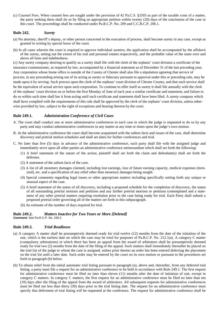(c) *Counsel Fees*. When counsel fees are sought under the provision of 42 Pa.C.S. §2503 as part of the taxable costs of a matter, the party seeking them shall do so by filing an appropriate petition within twenty (20) days of the conclusion of the case in this court. The proceedings shall be conducted under Pa.R.C.P. No. 209 and C.C.R.C.P. 206.1.

### **Rule 242.** *Surety*

- (a) No attorney, sheriff's deputy, or other person concerned in the execution of process, shall become surety in any case, except as granted in writing by special leave of the court.
- (b) In all cases wherein the court is required to approve individual sureties, the application shall be accompanied by the affidavit of the surety, setting out the extent of his real and personal estates respectively, and the probable value of the same over and above all liens and indebtedness.

(c) Any surety company desiring to qualify as a surety shall file with the clerk of the orphans' court division a certificate of the insurance commissioner, as required by law, accompanied by a financial statement as of December 31 of the last preceding year. Any corporation whose home office is outside of the County of Chester shall also file a stipulation agreeing that service of process, in any proceeding arising out of its acting as surety or fiduciary pursuant to approval under this or preceding rule, may be made upon it by serving. Such process upon the clerk of the orphans' court division of Chester County, and that such service shall be the equivalent of actual service upon such corporation. To continue to offer itself as surety it shall file annually with the clerk of the orphans' court division on or before the first Monday of June of each year a similar certificate and statement, and failure to do so within such time shall bar it from acting until such certificate and statement shall have been filed. A surety company which shall have complied with the requirements of this rule shall be approved by the clerk of the orphans' court division, unless otherwise provided by law, subject to the right of exceptions and hearing thereon by the court.

### **Rule 249.1.** *Administration Conference of Civil Cases*

- A. The court shall conduct one or more administrative conferences in each case in which the judge is requested to do so by any party and may conduct administrative conferences in any matter at any time or times upon the judge's own motion.
- B. At the administrative conference the court shall become acquainted with the salient facts and issues of the case, shall determine discovery and pretrial motion schedules and shall set dates for further conferences and trial.
- C. No later than five (5) days in advance of the administrative conference, each party shall file with the assigned judge and immediately serve upon all other parties an administrative conference memorandum which shall set forth the following:
	- (1) A brief statement of the nature of the action; plaintiff shall set forth the claim and defendant(s) shall set forth the defenses.
	- (2) A statement of the salient facts of the case.
	- (3) A list of all monetary damages claimed, including lost earnings, loss of future earning capacity, medical expenses (itemized), etc. and a specification of any relief other than monetary damages being sought.
	- (4) Special comments regarding legal issues or other appropriate matters including specifically setting forth any unique or unusual aspect of the case.
	- (5) A brief statement of the status of all discovery, including a proposed schedule for the completion of discovery, the status of all outstanding pretrial motions and petitions and any further pretrial motions or petitions contemplated and a statement of any other pretrial matters requiring resolution prior to the case being ready for trial. Each Party shall submit a proposed pretrial order governing all of the matters set forth in this subparagraph.
	- (6) An estimate of the number of days required for trial.

# **Rule 249.2.** *Matters Inactive for Two Years or More [Deleted]*

*Comment:* See Pa.R.C.P. No. 230.2

### **Rule 249.3.** *Trial Readiness*

- (a) A category A matter shall be presumptively deemed ready for trial twelve (12) months from the date of the initiation of the suit, which is the earliest date on which the case may be tried for purposes of Pa.R.C.P. No. 212.1(a). A category C matter (compulsory arbitrations) in which there has been an appeal from the award of arbitrators shall be presumptively deemed ready for trial two (2) months from the date of the filing of the appeal. Such matters shall immediately thereafter be placed on the trial list of the judge to whom the case is assigned, unless prior thereto an order has been entered deferring the placement on the trial list until a later date. Such order may be entered by the court on its own motion or pursuant to the procedures set forth in paragraph (b) below.
- (b) To obtain relief from the initial automatic trial listing pursuant to paragraph (a), above and, thereafter, from any deferred trial listing, a party must file a request for an administrative conference to be held in accordance with Rule 249.1. The first request for administrative conference must be filed no later than eleven (11) months after the date of initiation of suit, except in category C matters. In category C matters, the first request for an administrative conference must be filed no later than ten (10) days after the filing of the appeal from the award of arbitrators. All subsequent requests for administrative conferences must be filed not less than thirty (30) days prior to the trial listing date. The request for an administrative conference must specify that deferment of trial listing will be requested at the conference. The request for administrative conference shall be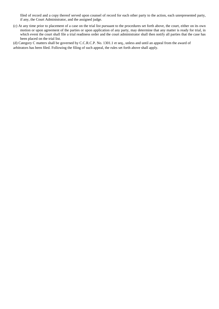filed of record and a copy thereof served upon counsel of record for each other party to the action, each unrepresented party, if any, the Court Administrator, and the assigned judge.

(c) At any time prior to placement of a case on the trial list pursuant to the procedures set forth above, the court, either on its own motion or upon agreement of the parties or upon application of any party, may determine that any matter is ready for trial, in which event the court shall file a trial readiness order and the court administrator shall then notify all parties that the case has been placed on the trial list.

(d) Category C matters shall be governed by C.C.R.C.P. No. 1301.1 et seq., unless and until an appeal from the award of arbitrators has been filed. Following the filing of such appeal, the rules set forth above shall apply.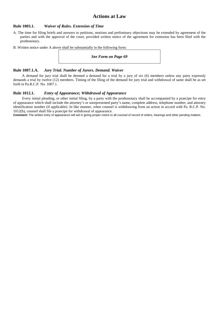## **Actions at Law**

### **Rule 1003.1.** *Waiver of Rules. Extension of Time*

- A. The time for filing briefs and answers to petitions, motions and preliminary objections may be extended by agreement of the parties and with the approval of the court, provided written notice of the agreement for extension has been filed with the prothonotary.
- B. Written notice under A above shall be substantially in the following form:

#### *See Form on Page 69*

### **Rule 1007.1.A.** *Jury Trial. Number of Jurors. Demand. Waiver*

A demand for jury trial shall be deemed a demand for a trial by a jury of six (6) members unless any party expressly demands a trial by twelve (12) members. Timing of the filing of the demand for jury trial and withdrawal of same shall be as set forth in Pa.R.C.P. No. 1007.1.

#### **Rule 1012.1.** *Entry of Appearance; Withdrawal of Appearance*

Every initial pleading, or other initial filing, by a party with the prothonotary shall be accompanied by a praecipe for entry of appearance which shall include the attorney's or unrepresented party's name, complete address, telephone number, and attorney identification number (if applicable). In like manner, when counsel is withdrawing from an action in accord with Pa. R.C.P. No. 1012(b), counsel shall file a praecipe for withdrawal of appearance.

*Comment:* The written entry of appearance will aid in giving proper notice to all counsel of record of orders, hearings and other pending matters.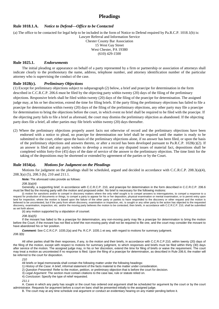### **Pleadings**

### **Rule 1018.1.A.** *Notice to Defend—Office to be Contacted*

(a) The office to be contacted for legal help to be included in the form of Notice to Defend required by Pa.R.C.P. 1018.1(b) is: Lawyer Referral and Information Service

Chester County Bar Association 15 West Gay Street West Chester, PA 19380 (610) 429-1500

#### **Rule 1025.1.** *Endorsements*

The initial pleading or appearance on behalf of a party represented by a firm or partnership or association of attorneys shall indicate clearly to the prothonotary the name, address, telephone number, and attorney identification number of the particular attorney who is supervising the conduct of the case.

#### **Rule 1028(c).** *Preliminary Objections*

(1) Except for preliminary objections subject to subparagraph (2) below, a brief and praecipe for determination in the form described in C.C.R.C.P. 206.6 must be filed by the objecting party within twenty (20) days of the filing of the preliminary objections. Responsive briefs shall be filed within twenty (20) days of the filing of the praecipe for determination. The assigned judge may, at his or her discretion, extend the time for filing briefs. If the party filing the preliminary objections has failed to file a praecipe for determination within twenty (20) days of the filing of the preliminary objections, any other party may file a praecipe for determination to bring the objections before the court, in which event no brief shall be required to be filed with the praecipe. If the objecting party fails to file a brief as aforesaid, the court may dismiss the preliminary objection as abandoned. If the objecting party does file a brief, all other parties may file briefs within twenty (20) days thereafter.

(2) Where the preliminary objections properly assert facts not otherwise of record and the preliminary objections have been endorsed with a notice to plead, no praecipe for determination nor brief shall be required until the matter is ready to be submitted to the court, either upon the basis of the preliminary objections alone, if no answer has been filed, or upon the basis of the preliminary objections and answers thereto, or after a record has been developed pursuant to Pa.R.C.P. 1028(c)(2). If an answer is filed and any party wishes to develop a record on any disputed issues of material fact, depositions shall be completed within forty-five (45) days of the date of service of the answer to the preliminary objection. The time limit for the taking of the depositions may be shortened or extended by agreement of the parties or by the Court.

#### **Rule 1034(a).** *Motions for Judgment on the Pleadings*

Motions for judgment on the pleadings shall be scheduled, argued and decided in accordance with C.C.R.C.P. 208.3(a)(4), 208.3(a) (5), 208.3 (b), 210 and 211.1.

*Note:* The aforesaid rules provide as follows:

*208.3(a)(4)* 

Generally, a supporting brief, in accordance with C.C.R.C.P. 210, and praecipe for determination in the form described in C.C.R.C.P. 206.6 must be filed by the moving party with the motion and proposed order. No brief is necessary for the following motions:

(i) motion for sanctions and/or to compel in discovery matters where the only relief sought is to compel answers to interrogatories, to compel a response to a request for production of documents or things, to compel a party to appear for his or her deposition, physical examination or mental examination, or to permit entry upon land for inspection, where the motion is based upon the failure of the other party or parties to have responded to the discovery or other request and the motion is believed to be uncontested, but if the party from whom discovery, examination or inspection, etc. is sought or any other party to the action has objected to the requested discovery, examination, inspection, etc. and/or the moving party believes the motion to be contested, then briefs, in accordance with C.C.R.C.P. 210, shall be submitted as set forth above;

(ii) any motion supported by a stipulation of counsel.

*208.3(a)(5)* 

If the movant has failed to file a praecipe for determination, any non-moving party may file a praecipe for determination to bring the motion before the Court; if the movant has not filed a brief the non-moving party shall not be required to file one, and the court may consider the movant to have abandoned his or her position.

*Comment:* See C.C.R.C.P. 1035.2(a) and Pa. R.C.P. 1035.1 et seq. with regard to motions for summary judgment.

*208.3(b)*

All other parties shall file their responses, if any, to the motion and their briefs, in accordance with C.C.R.C.P.210, within twenty (20) days of the filing of the motion, except with respect to motions for summary judgment, to which responses and briefs must be filed within thirty (30) days after service of the motion. The assigned judge may, in his or her discretion, extend the time for filing of briefs or waive the requirement. The court may treat a motion as uncontested if no response is filed. Upon the filing of a praecipe for determination, as described in Rule 206.6, the matter will be referred to the court for disposition.

*210* 

All briefs or legal memoranda shall contain the following matter under the following headings:

- 1) *History of the Case*: A brief, informal statement of the facts material to the matter under consideration.
- 2) *Question Presented*: Refer to the motion, petition, or preliminary objection that is before the court for decision.
- 3) *Legal Argument*: The section must contain citations to the case law, rule or statute relied on.
- 4) *Conclusion*: Specify the type of relief requested.

*211.1* 

A. Cases in which any party has sought or the court has ordered oral argument shall be scheduled for argument by the court or by the court administrator. Requests for argument before a court en banc shall be presented initially to the assigned judge.

B. The court may at any time schedule oral argument or conduct an evidentiary hearing on any matter pending before it.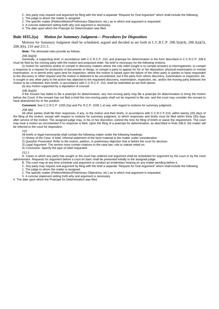- C. Any party may request oral argument by filing with the brief a separate "Request for Oral Argument" which shall include the following:
- 1. The judge to whom the matter is assigned.
- 2. The specific matter (Petition/Motion/Preliminary Objections, etc.) as to which oral argument is requested.
- 3. A concise statement setting forth why oral argument is necessary.
- 4. The date upon which the Praecipe for Determination was filed.

#### **Rule 1035.2(a)** *Motion for Summary Judgment— Procedures for Disposition*

Motions for Summary Judgment shall be scheduled, argued and decided as set forth in C.C.R.C.P. 208.3(a)(4), 208.3(a)(5), 208.3(b), 210 and 211.1.

*Note:* The aforesaid rules provide as follows:

#### *208.3(a)(4)*

Generally, a supporting brief, in accordance with C.C.R.C.P. 210, and praecipe for determination in the form described in C.C.R.C.P. 206.6 must be filed by the moving party with the motion and proposed order. No brief is necessary for the following motions:

(i) motion for sanctions and/or to compel in discovery matters where the only relief sought is to compel answers to interrogatories, to compel a response to a request for production of documents or things, to compel a party to appear for his or her deposition, physical examination or mental examination, or to permit entry upon land for inspection, where the motion is based upon the failure of the other party or parties to have responded to the discovery or other request and the motion is believed to be uncontested, but if the party from whom discovery, examination or inspection, etc. is sought or any other party to the action has objected to the requested discovery, examination, inspection, etc. and/or the moving party believes the motion to be contested, then briefs, in accordance with C.C.R.C.P. 210, shall be submitted as set forth above;

(ii) any motion supported by a stipulation of counsel.

#### *208.3(a)(5)*

If the movant has failed to file a praecipe for determination, any non-moving party may file a praecipe for determination to bring the motion before the Court; if the movant has not filed a brief the non-moving party shall not be required to file one, and the court may consider the movant to have abandoned his or her position.

*Comment:* See C.C.R.C.P. 1035.2(a) and Pa. R.C.P. 1035.1 et seq. with regard to motions for summary judgment.

#### *208.3(b)*

All other parties shall file their responses, if any, to the motion and their briefs, in accordance with C.C.R.C.P.210, within twenty (20) days of the filing of the motion, except with respect to motions for summary judgment, to which responses and briefs must be filed within thirty (30) days after service of the motion. The assigned judge may, in his or her discretion, extend the time for filing of briefs or waive the requirement. The court may treat a motion as uncontested if no response is filed. Upon the filing of a praecipe for determination, as described in Rule 206.6, the matter will be referred to the court for disposition.

*210* 

All briefs or legal memoranda shall contain the following matter under the following headings:

- 1) *History of the Case*: A brief, informal statement of the facts material to the matter under consideration.
- 2) *Question Presented*: Refer to the motion, petition, or preliminary objection that is before the court for decision.

3) *Legal Argument*: The section must contain citations to the case law, rule or statute relied on.

4) *Conclusion*: Specify the type of relief requested.

*211.1* 

A. Cases in which any party has sought or the court has ordered oral argument shall be scheduled for argument by the court or by the court administrator. Requests for argument before a court en banc shall be presented initially to the assigned judge.

B. The court may at any time schedule oral argument or conduct an evidentiary hearing on any matter pending before it.

- C. Any party may request oral argument by filing with the brief a separate "Request for Oral Argument" which shall include the following: 1. The judge to whom the matter is assigned.
- 
- 2. The specific matter (Petition/Motion/Preliminary Objections, etc.) as to which oral argument is requested.
- 3. A concise statement setting forth why oral argument is necessary.

4. The date upon which the Praecipe for Determination was filed.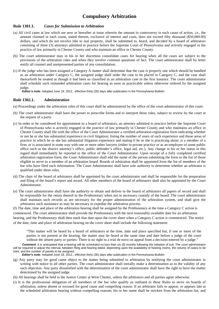# **Compulsory Arbitration**

### **Rule 1301.1.** *Cases for Submission to Arbitration*

- (a) All civil cases at law which are now or hereafter at issue wherein the amount in controversy in each cause of action, i.e., the amount claimed in each count, stated therein, exclusive of interest and costs, does not exceed fifty thousand (\$50,000.00) dollars, and which do not involve title to real property, shall be submitted to, heard, and decided by a board of arbitrators consisting of three (3) attorneys admitted to practice before the Supreme Court of Pennsylvania and actively engaged in the practice of law primarily in Chester County and who maintain an office in Chester County.
- (b) The court administrator may in his or her discretion consolidate cases for hearing when all the cases are subject to the provisions of the arbitration rules and when they involve common questions of fact. The court administrator shall by letter notify all counsel and unrepresented parties of any consolidation.
- (c) If the judge who has been assigned a Category A matter shall determine that the case is properly one which should be handled as an arbitration under Category C, the assigned judge shall order the case to be placed in Category C, and the case shall thenceforth be treated as though it had been so classified as an arbitration case in the first instance. The court administrator shall schedule such remanded arbitration cases for hearing as soon as practicable unless otherwise ordered by the assigned judge.

*Editor's note:* Adopted June 19, 2012., effective thirty (30) days after publication in the Pennsylvania Bulletin

### **Rule 1302.1.** *Administration*

- (a) Proceedings under the arbitration rules of this court shall be administered by the office of the court administrator of this court.
- (b) The court administrator shall have the power to prescribe forms and to interpret these rules, subject to review by the court at the request of a party.
- (c) In order to be considered for appointment to a board of arbitrators, an attorney admitted to practice before the Supreme Court of Pennsylvania who is actively engaged in the practice of law primarily in Chester County and who maintains an office in Chester County shall file with the office of the Court Administrator a certified arbitration registration form indicating whether or not he or she has substantial experience in civil litigation; listing the number of years of such experience and those areas of practice in which he or she has substantial litigation experience and stating if he or she is practicing alone, is a member of a firm, or is associated in some way with one or more other lawyers (either in private practice or as an employee of some public office such as the district attorney's office, public defender's office, legal aid, etc.). Any change in his or her status in this regard shall immediately be reported to the office of the Court Administrator. Upon receipt of a fully completed certified arbitration registration form, the Court Administrator shall add the name of the person submitting the form to the list of those eligible to serve as a member of an arbitration board. Boards of arbitration shall be appointed from the list of members of the bar who have filed such information. The Court Administrator shall have sole authority to determine whether an arbitrator is qualified under these rules.
- (d) The chair of the board of arbitrators shall be appointed by the court administrator and shall be responsible for the preparation and filing of the board's report and award. All other members of the board of arbitrators shall also be appointed by the Court Administrator.
- (e) The court administrator shall have the authority to obtain and deliver to the board of arbitrators all papers of record and shall be responsible for the return thereof to the Prothonotary when not in necessary custody of the board. The court administrator shall maintain such records as are necessary for the proper administration of the arbitration system, and shall give the arbitrators such assistance as may be necessary to expedite the arbitration process.

(f) The date, time and place of the arbitration hearing shall be assigned by the Prothonotary at the time a Category C action is commenced. The court administrator shall provide the Prothonotary with the next reasonably available date for an arbitration hearing, and the Prothonotary shall then mark that date upon the cover sheet when a Category C action is commenced. The notice of the date, time and place of arbitration hearing on the cover sheet shall include the following statement:

"This matter will be heard by a board of arbitrators at the time, date and place specified but, if one or more of the parties is not present at the hearing, the matter may be heard at the same time and date before a judge of the court without the absent party or parties. There is no right to a trial de novo on appeal from a decision entered by a judge."

*Comment:* It is anticipated that a hearing will be scheduled no less than six (6) months following the initiation of suit. The court administrator will be required to adjust the interval, between filing and hearing dated, depending upon the availability of hearing rooms, the volume of cases to be tried, and the number of panels to be assigned.

*Editor's note:* Adopted June 19, 2012., effective thirty (30) days after publication in the Pennsylvania Bulletin

- (g) Any party may for good cause object to the matter being submitted to arbitration by notifying the court administrator in writing with notice to all other parties. The court administrator shall initially make a determination as to the validity of any such objection. Any party dissatisfied with the determination of the court administrator shall have the right to have the matter determined by the assigned judge.
- (h) All hearings shall be held in the Justice Center at West Chester, unless the arbitrators and all parties agree otherwise.
- (i) It is the professional obligation of all members of the bar who qualify as outlined in these Rules to serve on boards of arbitration, unless absent or excused for good cause and compelling reason. If an arbitrator fails to appear, or appears late at the scheduled arbitration hearing without compelling reasons, his or her name shall be stricken from the arbitration list, and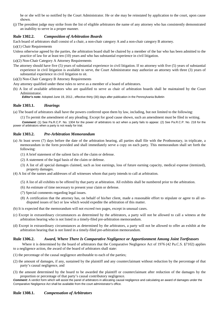he or she will be so notified by the Court Administrator. He or she may be reinstated by application to the court, upon cause shown.

(j) The president judge may strike from the list of eligible arbitrators the name of any attorney who has consistently demonstrated an inability to serve in a proper manner.

### **Rule 1302.2.** *Composition of Arbitration Boards*

Each board of arbitrators shall consist of a chair, a non-chair category A and a non-chair category B attorney.

- (a)(1) Chair Requirements
- Unless otherwise agreed by the parties, the arbitration board shall be chaired by a member of the bar who has been admitted to the practice of law for at least ten (10) years and who has substantial experience in civil litigation.

(a)(2) Non-Chair Category A Attorney Requirements

- The attorney should have five (5) years of substantial experience in civil litigation. If no attorney with five (5) years of substantial experience in civil litigation is available to serve, the Court Administrator may authorize an attorney with three (3) years of substantial experience in civil litigation to sit.
- (a)(3) Non-Chair Category B Attorney Requirements

Any attorney qualified under these rules to serve as a member of a board of arbitrators.

(b) A list of available arbitrators who are qualified to serve as chair of arbitration boards shall be maintained by the Court Administrator.

*Editor's note:* Adopted June 19, 2012., effective thirty (30) days after publication in the Pennsylvania Bulletin

### **Rule 1303.1.** *Hearings*

(a) The board of arbitrators shall have the powers conferred upon them by law, including, but not limited to the following:

(1) To permit the amendment of any pleading. Except for good cause shown, such an amendment must be filed in writing.

*Comment:* (1) See Pa.R.C.P. No. 1304 for the power of arbitrators to act when a party fails to appear. (2) See Pa.R.C.P. No. 218 for the power of arbitrators when a party is not ready for trial.

#### **Rule 1303.2.** *Pre-Arbitration Memorandum*

- (a) At least seven (7) days before the date of the arbitration hearing, all parties shall file with the Prothonotary, in triplicate, a memorandum in the form provided and shall immediately serve a copy on each party. This memorandum shall set forth the following:
	- (1) A brief statement of the salient facts of the claim or defense.
	- (2) A statement of the legal basis of the claim or defense.
	- (3) A list of all special damages claimed, such as lost earnings, loss of future earning capacity, medical expense (itemized), property damages.
- (4) A list of the names and addresses of all witnesses whom that party intends to call at arbitration.
	- (5) A list of all exhibits to be offered by that party at arbitration. All exhibits shall be numbered prior to the arbitration.
	- (6) An estimate of time necessary to present your claim or defense.
	- (7) Special comments regarding legal issues.
	- (8) A certification that the attorney has, on behalf of his/her client, made a reasonable effort to stipulate or agree to all undisputed issues of fact or law which would expedite the arbitration of this matter.
- (b) It is expected that the memorandum will not exceed two pages, except in unusual cases.
- (c) Except in extraordinary circumstances as determined by the arbitrators, a party will not be allowed to call a witness at the arbitration hearing who is not listed in a timely-filed pre-arbitration memorandum.
- (d) Except in extraordinary circumstances as determined by the arbitrators, a party will not be allowed to offer an exhibit at the arbitration hearing that is not listed in a timely-filed pre-arbitration memorandum.

#### **Rule 1306.2.** *Award, Where There Is Comparative Negligence or Apportionment Among Joint Tortfeasors*

Where it is determined by the board of arbitrators that the Comparative Negligence Act of 1976 (42 Pa.C.S. §7102) applies to a negligence action, the award of the board of arbitrators shall state:

- (1) the percentage of the causal negligence attributable to each of the parties;
- (2) the amount of damages, if any, sustained by the plaintiff and any counterclaimant without reduction by the percentage of that party's causal negligence, and
- (3) the amount determined by the board to be awarded the plaintiff or counterclaimant after reduction of the damages by the proportion or percentage of that party's causal contributory negligence.

*Comment:* A verdict form which will assist the panel of arbitrators in allocating causal negligence and calculating an award of damages under the Comparative Negligence Act shall be available from the court administrator's office.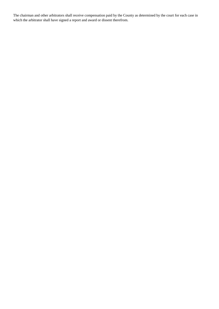The chairman and other arbitrators shall receive compensation paid by the County as determined by the court for each case in which the arbitrator shall have signed a report and award or dissent therefrom.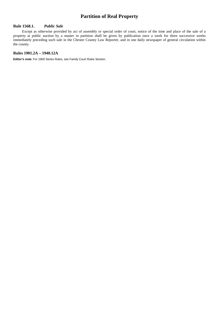# **Partition of Real Property**

### **Rule 1568.1.** *Public Sale*

Except as otherwise provided by act of assembly or special order of court, notice of the time and place of the sale of a property at public auction by a master in partition shall be given by publication once a week for three successive weeks immediately preceding such sale in the Chester County Law Reporter, and in one daily newspaper of general circulation within the county.

#### **Rules 1901.2A – 1940.12A**

*Editor's note:* For 1900 Series Rules, see Family Court Rules Section.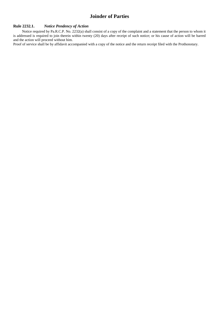# **Joinder of Parties**

### **Rule 2232.1.** *Notice Pendency of Action*

Notice required by Pa.R.C.P. No. 2232(a) shall consist of a copy of the complaint and a statement that the person to whom it is addressed is required to join therein within twenty (20) days after receipt of such notice; or his cause of action will be barred and the action will proceed without him.

Proof of service shall be by affidavit accompanied with a copy of the notice and the return receipt filed with the Prothonotary.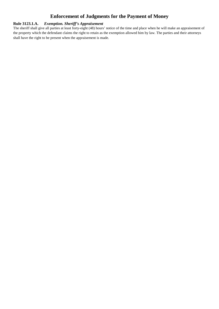# **Enforcement of Judgments for the Payment of Money**

### **Rule 3123.1.A.** *Exemption. Sheriff's Appraisement*

The sheriff shall give all parties at least forty-eight (48) hours' notice of the time and place when he will make an appraisement of the property which the defendant claims the right to retain as the exemption allowed him by law. The parties and their attorneys shall have the right to be present when the appraisement is made.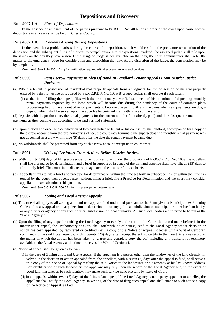# **Depositions and Discovery**

### **Rule 4007.1.A.** *Place of Depositions*

In the absence of an agreement of the parties pursuant to Pa.R.C.P. No. 4002, or an order of the court upon cause shown, depositions in all cases shall be held in Chester County.

### **Rule 4007.1.B.** *Problems Arising During Depositions*

In the event that a problem arises during the course of a deposition, which would result in the premature termination of the deposition and the subsequent filing of motions to compel answers to the questions involved, the assigned judge shall rule upon the issues on the day they have arisen. If the assigned judge is not available on that day, the court administrator shall refer the matter to the emergency judge for consideration and disposition that day. At the discretion of the judge, the consultation may be by telephone.

**Comment:** See Rule 206.1 A.(1) for certification required with discovery motions and petitions.

### **Rule 5000.** *Rent Escrow Payments In Lieu Of Bond In Landlord Tenant Appeals From District Justice Decisions*

- (a) Where a tenant in possession of residential real property appeals from a judgment for the possession of the real property entered by a district justice as required by Pa.R.C.P.D.J. No. 1008(B) a supersedeas shall operate if such tenant:
	- (1) at the time of filing the appeal, files with the prothonotary a verified statement of his intentions of depositing monthly rental payments required by the lease which will become due during the pendency of the court of common pleas proceedings listing the amount of rental payments to become due per month and the dates when said payments are due, a copy of which shall be served upon the appellee by certified mail within five (5) days; and

(2) deposits with the prothonotary the rental payments for the current month (if not already paid) and the subsequent rental payments as they become due according to tie said verified statement.

- (b) Upon motion and order and certification of two days notice to tenant or his counsel by the landlord, accompanied by a copy of the escrow account from the prothonotary's office, the court may terminate the supersedeas if a monthly rental payment was not deposited in escrow within five (5) days after the date the rental payment became due.
- (c) No withdrawals shall be permitted from any such escrow account except upon court order.

#### **Rule 5001.** *Writs of Certiorari From Actions Before District Justices*

- (a) Within thirty (30) days of filing a praecipe for writ of certiorari under the provisions of Pa.R.C.P.D.J. No. 1009 the appellant shall file a praecipe for determination and a brief in support of issuance of the writ and appellee shall have fifteen (15) days to file a reply brief. The court, in its discretion, may extend the time for filing of briefs.
- (b) If appellant fails to file a brief and praecipe for determination within the time set forth in subsection (a), or within the time extended by the court, then appellee may, without filing a brief; file a Praecipe for Determination and the court may consider appellant to have abandoned his position.

*Comment:* See C.C.R.C.P. 206.6 for form of praecipe for determination.

#### **Rule 5002.** *Zoning and Local Agency Appeals*

- (a) This rule shall apply to all zoning and land use appeals filed under and pursuant to the Pennsylvania Municipalities Planning Code and to any appeal from any decision or determination of any political subdivision or municipal or other local authority, or any officer or agency of any such political subdivision or local authority. All such local bodies are referred to herein as the "Local Agency."
- (b) Upon the filing of any appeal requiring the Local Agency to certify and return to the Court the record made before it in the matter under appeal, the Prothonotary or Clerk shall forthwith, as of course, send to the Local Agency whose decision or action has been appealed, by registered or certified mail, a copy of the Notice of Appeal, together with a Writ of Certiorari commanding the said Local Agency, within twenty (20) days after receipt thereof, to certify to the Court its entire record in the matter in which the appeal has been taken, or a true and complete copy thereof, including any transcript of testimony available to the Local Agency at the time it receives the Writ of Certiorari.
- (c) Notice of appeal shall be given as follows:
	- (i) In the case of Zoning and Land Use Appeals, if the appellant is a person other than the landowner of the land directly involved in the decision or action appealed from, the appellant, within seven (7) days after the appeal is filed, shall serve a true copy of the Notice of Appeal by mailing the said Notice to the landowner or his attorney at his last known address. For identification of such landowner, the appellant may rely upon the record of the Local Agency and, in the event of good faith mistakes as to such identity, may make such service nunc pro tunc by leave of Court.
	- (ii) In all appeals, within seven (7) days of the filing of an appeal, if the Local Agency is not a party appellant or appellee, the appellant shall notify the Local Agency, in writing, of the date of fling such appeal and shall attach to such notice a copy of the Notice of Appeal, as fled.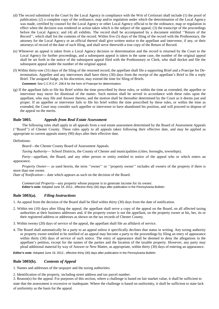- (d) The record submitted to the Court by the Local Agency in compliance with the Writ of Certiorari shall include (1) the proof of publication; (2) a complete copy of the ordinance, map and/or regulation under which the determination of the Local Agency was made, certified by counsel for the Local Agency or other Local Agency official to be the ordinance, map or regulation in effect when the decision was rendered or action taken which is the subject of the appeal; (3) the transcript of the proceedings before the Local Agency; and (4) all exhibits. The record shall be accompanied by a document entitled ''Return of the Record'', which shall list the contents of the record. Within five (5) days of the filing of the record with the Prothonotary, the attorney for the Local Agency or an official thereof shall give written notice to the appellant and intervenor, if any, or their attorneys of record of the date of such filing, and shall serve therewith a true copy of the Return of Record.
- (e) Whenever an appeal is taken from a Local Agency decision or determination and the record is returned by the Court to the Local Agency for further proceedings, and a subsequent appeal is taken in the same case, the number of the original appeal shall be set forth in the notice of the subsequent appeal filed with the Prothonotary or Clerk, who shall docket and file the subsequent appeal under the number of the original appeal.
- (f) Within thirty-one (31) days of the filing of the returned record, the appellant shall file a supporting Brief and a Praecipe for Determination. Appellee and any intervenors shall have thirty (30) days from the receipt of the appellant's Brief to file a reply Brief. The assigned Judge, in his discretion, may extend the time for filing of Briefs. *Comment:* See C.C.R.C.P. 206.6 for the form of Praecipe for determination.
- (g) If the appellant fails to file his Brief within the time prescribed by these rules, or within the time as extended, the appellee or intervenor may move for dismissal of the matter. Such motion shall be served in accordance with these rules upon the appellant, who may file and Answer thereto, and the motion shall be thereafter determined by the Court as it deems just and proper. If an appellee or intervenor fails to file his brief within the time prescribed by these rules, or within the time as extended, the Court may consider such appellee or intervenor to have abandoned his position, and will proceed to dispose of the appeal on the merits.

### **Rule 5003.** *Appeals from Real Estate Assessment*

The following rules shall apply to all appeals from a real estate assessment determined by the Board of Assessment Appeals (''Board'') of Chester County. These rules apply to all appeals taken following their effective date, and may be applied as appropriate to current appeals ninety (90) days after their effective date.

#### Definitions:

*Board*—the Chester County Board of Assessment Appeals.

*Taxing Authority*— School Districts, the County of Chester and municipalities (cities, boroughs, townships).

*Party*—appellant, the Board, and any other person or entity entitled to notice of the appeal who or which enters an appearance.

*Property Owner*— as used herein, the term "owner" or "property owner" includes all owners of the property if there is more than one owner.

*Date of Notification*— date which appears as such on the decision of the Board.

*Commercial Property*—any property whose purpose is to generate income for its owner. *Editor's note:* Adopted June 19, 2012., effective thirty (30) days after publication in the Pennsylvania Bulletin

### **Rule 5003(a).** *Filing Instructions*

1. An appeal from the decision of the Board shall be filed within thirty (30) days from the date of notification.

- 2. Within ten (10) days after filing the appeal, the appellant shall serve a copy of the appeal on the Board, on all affected taxing authorities at their business addresses and, if the property owner is not the appellant, on the property owner at his, her, its or their registered address or addresses as shown on the tax records of Chester County.
- 3. Within twenty (20) days of service of the appeal, the appellant shall file an affidavit of service.
- 4. The Board shall automatically be a party to an appeal unless it specifically declines that status in writing. Any taxing authority or property owner entitled to be notified of an appeal may become a party to the proceedings by filing an entry of appearance within thirty (30) days of service of such notice. The entry of appearance shall be deemed to deny the allegations in the appellant's petition, except for the names of the parties and the location of the taxable property. However, any party may plead additional material by way of Answer or New Matter, as appropriate, within thirty (30) days of entering an appearance.

*Editor's note:* Adopted June 19, 2012., effective thirty (30) days after publication in the Pennsylvania Bulletin

### **Rule 5003(b).** *Contents of Appeal*

1. Names and addresses of the taxpayer and the taxing authorities.

2. Identification of the property, including street address and tax parcel number.

3. Reason(s) for the appeal. For purposes of this section, where a challenge is based on fair market value, it shall be sufficient to state that the assessment is excessive or inadequate. Where the challenge is based on uniformity, it shall be sufficient to state lack of uniformity as the basis for the appeal.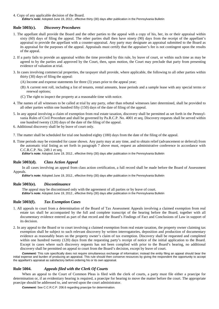4. Copy of any applicable decision of the Board. *Editor's note:* Adopted June 19, 2012., effective thirty (30) days after publication in the Pennsylvania Bulletin

### **Rule 5003(c).** *Discovery Procedures*

- 1. The appellant shall provide the Board and the other parties to the appeal with a copy of his, her, its or their appraisal within sixty (60) days of filing the appeal. The other parties shall then have ninety (90) days from the receipt of the appellant's appraisal to provide the appellant with a counter-appraisal. Any party may designate an appraisal submitted to the Board as its appraisal for the purposes of the appeal. Appraisals must certify that the appraiser's fee is not contingent upon the results of the appeal.
- 2. If a party fails to provide an appraisal within the time provided by this rule, by leave of court, or within such time as may be agreed to by the parties and approved by the Court, then, upon motion, the Court may preclude that party from presenting evidence of valuation at trial.
- 3. In cases involving commercial properties, the taxpayer shall provide, where applicable, the following to all other parties within thirty (30) days of filing the appeal:
	- (A) Income and expense statements for three (3) years prior to the appeal year;
	- (B) A current rent roll, including a list of tenants, rental amounts, lease periods and a sample lease with any special terms or renewal options;
	- (C) The right to inspect the property at a reasonable time with notice.
- 4. The names of all witnesses to be called at trial by any party, other than rebuttal witnesses later determined, shall be provided to all other parties within one hundred fifty (150) days of the date of filing of the appeal.
- 5. In any appeal involving a claim of exemption from real estate taxation, discovery shall be permitted as set forth in the Pennsylvania Rules of Civil Procedure and shall be governed by Pa.R.C.P. No. 4001 et seq. Discovery requests shall be served within one hundred twenty (120) days of the date of the filing of the appeal.
- 6. Additional discovery shall be by leave of court only.
- 7. The matter shall be scheduled for trial one hundred eighty (180) days from the date of the filing of the appeal.
- 8. Time periods may be extended for cause shown. Any party may at any time, and to obtain relief (advancement or deferral) from the automatic trial listing as set forth in paragraph 7 above must, request an administrative conference in accordance with C.C.R.C.P. No. 249.1 et seq.

*Editor's note:* Adopted June 19, 2012., effective thirty (30) days after publication in the Pennsylvania Bulletin

#### **Rule 5003(d).** *Class Action Appeal*

In all cases involving an appeal from class action certification, a full record shall be made before the Board of Assessment Appeals.

*Editor's note:* Adopted June 19, 2012., effective thirty (30) days after publication in the Pennsylvania Bulletin

#### **Rule 5003(e).** *Discontinuance*

The appeal may be discontinued only with the agreement of all parties or by leave of court. *Editor's note:* Adopted June 19, 2012., effective thirty (30) days after publication in the Pennsylvania Bulletin

### **Rule 5003(f).** *Tax Exemption Cases*

- 1. All appeals to court from a determination of the Board of Tax Assessment Appeals involving a claimed exemption from real estate tax shall be accompanied by the full and complete transcript of the hearing before the Board, together with all documentary evidence entered as part of that record and the Board's Findings of Fact and Conclusions of Law in support of its decision.
- 2. In any appeal to the Board or to court involving a claimed exemption from real estate taxation, the property owner claiming tax exemption shall be subject to such relevant discovery by written interrogatories, deposition and production of documentary evidence as reasonably bears on the property owner's claim of tax exemption. Discovery shall be requested and completed within one hundred twenty (120) days from the requesting party's receipt of notice of the initial application to the Board. Except in cases where such discovery requests has not been complied with prior to the Board's hearing, no additional discovery shall be permitted on appeal to court from the Board's decision, except by leave of court.

*Comment:* This rule specifically does not require simultaneous exchange of information; instead the entity filing an appeal should bear the initial expense and burden of producing an appraisal. This rule should then conserve resources by giving the respondent the opportunity to accept the appellant's appraisal as satisfactory before ordering his or its own appraisal.

### **Rule 5004.** *Appeals filed with the Clerk Of Courts*

When an appeal to the Court of Common Pleas is filed with the clerk of courts, a party must file either a praecipe for determination or, if an evidentiary hearing is required, a praecipe for hearing to move the matter before the court. The appropriate praecipe should be addressed to, and served upon the court administrator.

*Comment:* See C.C.R.C.P. 206.6 regarding praecipe for determination.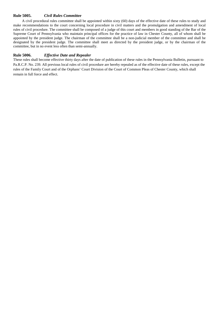### **Rule 5005.** *Civil Rules Committee*

A civil procedural rules committee shall be appointed within sixty (60) days of the effective date of these rules to study and make recommendations to the court concerning local procedure in civil matters and the promulgation and amendment of local rules of civil procedure. The committee shall be composed of a judge of this court and members in good standing of the Bar of the Supreme Court of Pennsylvania who maintain principal offices for the practice of law in Chester County, all of whom shall be appointed by the president judge. The chairman of the committee shall be a non-judicial member of the committee and shall be designated by the president judge. The committee shall meet as directed by the president judge, or by the chairman of the committee, but in no event less often than semi-annually.

### **Rule 5006.** *Effective Date and Repealer*

These rules shall become effective thirty days after the date of publication of these rules in the Pennsylvania Bulletin, pursuant to Pa.R.C.P. No. 239. All previous local rules of civil procedure are hereby repealed as of the effective date of these rules, except the rules of the Family Court and of the Orphans' Court Division of the Court of Common Pleas of Chester County, which shall remain in full force and effect.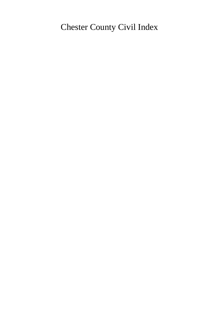# Chester County Civil Index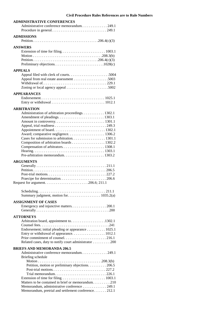### **ADMINISTRATIVE CONFERENCES**

| Administrative conference memorandum. 249.1                                                                                                                                                                                                                              |
|--------------------------------------------------------------------------------------------------------------------------------------------------------------------------------------------------------------------------------------------------------------------------|
| <b>ADMISSIONS</b>                                                                                                                                                                                                                                                        |
| <b>ANSWERS</b>                                                                                                                                                                                                                                                           |
| <b>APPEALS</b>                                                                                                                                                                                                                                                           |
| <b>APPEARANCES</b>                                                                                                                                                                                                                                                       |
| <b>ARBITRATION</b><br>Administration of arbitration proceedings. 1302.1<br>Cases for submission to arbitration. 1301.1<br>Composition of arbitration boards 1302.2<br>Compensation of arbitrators1308.1<br><b>ARGUMENTS</b>                                              |
|                                                                                                                                                                                                                                                                          |
|                                                                                                                                                                                                                                                                          |
| <b>ASSIGNMENT OF CASES</b>                                                                                                                                                                                                                                               |
| <b>ATTORNEYS</b><br>Endorsement; initial pleading or appearance 1025.1<br>Related cases, duty to notify court administrator 200                                                                                                                                          |
| <b>BRIEFS AND MEMORANDA 206.5</b><br>Administrative conference memorandum249.1                                                                                                                                                                                           |
| Briefing schedule<br>Petition, motion or preliminary objections. 206.5<br>Trial memorandum. $\ldots \ldots \ldots \ldots \ldots \ldots \ldots \ldots \ldots 226.1$<br>Matters to be contained in brief or memorandum. 210<br>Memorandum, administrative conference 249.1 |
| Memorandum, pretrial and settlement conference212.1                                                                                                                                                                                                                      |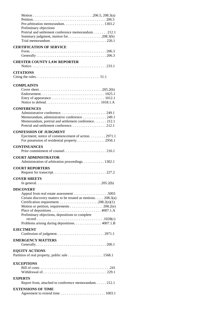| Preliminary objections                                                                                 |
|--------------------------------------------------------------------------------------------------------|
| Pretrial and settlement conference memorandum212.1                                                     |
| Summary judgment, motion for208.3(b)                                                                   |
| Trial memorandum. $\ldots \ldots \ldots \ldots \ldots \ldots \ldots \ldots \ldots \ldots \ldots 226.1$ |
| <b>CERTIFICATION OF SERVICE</b>                                                                        |
|                                                                                                        |
|                                                                                                        |
| <b>CHESTER COUNTY LAW REPORTER</b>                                                                     |
|                                                                                                        |
| <b>CITATIONS</b>                                                                                       |
|                                                                                                        |
|                                                                                                        |
| <b>COMPLAINTS</b>                                                                                      |
|                                                                                                        |
|                                                                                                        |
|                                                                                                        |
|                                                                                                        |
| <b>CONFERENCES</b>                                                                                     |
| Administrative conference249.1                                                                         |
| Memorandum, administrative conference 249.1                                                            |
| Memorandum, pretrial and settlement conference212.1                                                    |
| Pretrial and settlement conference212.1                                                                |
| <b>CONFESSION OF JUDGMENT</b>                                                                          |
| Ejectment; notice of commencement of action. 2971.1                                                    |
|                                                                                                        |
| <b>CONTINUANCES</b>                                                                                    |
|                                                                                                        |
|                                                                                                        |
| <b>COURT ADMINISTRATOR</b>                                                                             |
| Administration of arbitration proceedings. 1302.1                                                      |
|                                                                                                        |
| <b>COURT REPORTERS</b>                                                                                 |
|                                                                                                        |
| <b>COVER SHEETS</b>                                                                                    |
|                                                                                                        |
|                                                                                                        |
| <b>DISCOVERY</b>                                                                                       |
|                                                                                                        |
| Certain discovery matters to be treated as motions. 208.3(a)                                           |
| Motion or petition, requirements 208.2(e)                                                              |
|                                                                                                        |
| Preliminary objections, depositions to complete                                                        |
|                                                                                                        |
| Problems arising during depositions. 4007.1.B                                                          |
| <b>E.IECTMENT</b>                                                                                      |
| Confession of judgment2971.1                                                                           |
| <b>EMERGENCY MATTERS</b>                                                                               |
|                                                                                                        |
|                                                                                                        |
| <b>EQUITY ACTIONS</b>                                                                                  |
| Partition of real property, public sale 1568.1                                                         |
| <b>EXCEPTIONS</b>                                                                                      |
|                                                                                                        |
|                                                                                                        |
|                                                                                                        |
| <b>EXPERTS</b>                                                                                         |
| Report from, attached to conference memorandum. 212.1                                                  |
| <b>EXTENSIONS OF TIME</b>                                                                              |
| Agreement to extend time 1003.1                                                                        |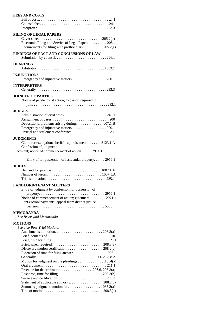| <b>FEES AND COSTS</b>                                                                                         |
|---------------------------------------------------------------------------------------------------------------|
|                                                                                                               |
|                                                                                                               |
|                                                                                                               |
| <b>FILING OF LEGAL PAPERS</b>                                                                                 |
|                                                                                                               |
| Electronic Filing and Service of Legal Paper. 205.4                                                           |
| Requirements for filing with prothonotary 205.2(a)                                                            |
| FINDINGS OF FACT AND CONCLUSIONS OF LAW                                                                       |
|                                                                                                               |
| HEARINGS                                                                                                      |
|                                                                                                               |
| <b>INJUNCTIONS</b>                                                                                            |
| <b>INTERPRETERS</b>                                                                                           |
|                                                                                                               |
|                                                                                                               |
| <b>JOINDER OF PARTIES</b>                                                                                     |
| Notice of pendency of action, to person required to                                                           |
|                                                                                                               |
| <b>JUDGES</b>                                                                                                 |
|                                                                                                               |
|                                                                                                               |
| Depositions, problems arising during 4007.1.B                                                                 |
|                                                                                                               |
| Pretrial and settlement conference212.1                                                                       |
| <b>JUDGMENTS</b>                                                                                              |
| Claim for exemption; sheriff's appraisement3123.1.A                                                           |
| Confession of judgment                                                                                        |
| Ejectment; notice of commencement of action. 2971.1                                                           |
|                                                                                                               |
| Entry of for possession of residential property 2956.1                                                        |
| <b>JURIES</b>                                                                                                 |
|                                                                                                               |
|                                                                                                               |
|                                                                                                               |
| <b>LANDLORD-TENANT MATTERS</b>                                                                                |
| Entry of judgment by confession for possession of                                                             |
| $property. \ldots \ldots \ldots \ldots \ldots \ldots \ldots \ldots \ldots \ldots \ldots \ldots \ldots 2956.1$ |
| Notice of commencement of action; ejectment. 2971.1                                                           |
| Rent escrow payments; appeal from district justice                                                            |
|                                                                                                               |
| <b>MEMORANDA</b>                                                                                              |
| See Briefs and Memoranda                                                                                      |
|                                                                                                               |
| <b>MOTIONS</b>                                                                                                |
| See also Post-Trial Motions                                                                                   |
|                                                                                                               |
|                                                                                                               |
|                                                                                                               |
|                                                                                                               |
|                                                                                                               |
|                                                                                                               |
| Motion for judgment on the pleadings 1034(a)                                                                  |
|                                                                                                               |
|                                                                                                               |
|                                                                                                               |
|                                                                                                               |
|                                                                                                               |
|                                                                                                               |
| Statement of applicable authority. 208.2(c)<br>Summary judgment, motion for. 1035.2(a)                        |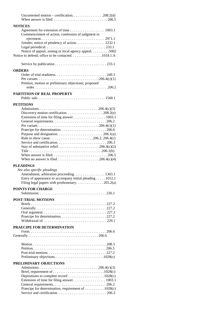| <b>NOTICES</b>                                                                                                                                              |
|-------------------------------------------------------------------------------------------------------------------------------------------------------------|
| Commencement of action, confession of judgment in<br>Joinder; notice of pendency of action. 2232.1<br>Notice of appeal, zoning or local agency appeal. 5002 |
| Notice to defend; office to be contacted1018.1.A                                                                                                            |
|                                                                                                                                                             |
|                                                                                                                                                             |
| <b>ORDERS</b>                                                                                                                                               |
| Petition, motion or preliminary objections; proposed                                                                                                        |
| <b>PARTITION OF REAL PROPERTY</b>                                                                                                                           |
|                                                                                                                                                             |
|                                                                                                                                                             |
| <b>PETITIONS</b>                                                                                                                                            |
|                                                                                                                                                             |
|                                                                                                                                                             |
|                                                                                                                                                             |
|                                                                                                                                                             |
|                                                                                                                                                             |
|                                                                                                                                                             |
|                                                                                                                                                             |
| Rule to show cause206.2, 206.4(c)                                                                                                                           |
|                                                                                                                                                             |
| Stay of substantive relief206.4(c)(2)                                                                                                                       |
|                                                                                                                                                             |
|                                                                                                                                                             |
|                                                                                                                                                             |
| <b>PLEADINGS</b>                                                                                                                                            |
| See also specific pleadings                                                                                                                                 |
| Amendment, arbitration proceeding. 1303.1                                                                                                                   |
| Entry of appearance to accompany initial pleading $\dots$ 1012.1                                                                                            |
|                                                                                                                                                             |
| <b>POINTS FOR CHARGE</b>                                                                                                                                    |
|                                                                                                                                                             |
|                                                                                                                                                             |
| <b>POST-TRIAL MOTIONS</b>                                                                                                                                   |
|                                                                                                                                                             |
|                                                                                                                                                             |
|                                                                                                                                                             |
| Praecipe for determination227.2                                                                                                                             |
|                                                                                                                                                             |
| PRAECIPE FOR DETERMINATION                                                                                                                                  |
|                                                                                                                                                             |
|                                                                                                                                                             |
|                                                                                                                                                             |
|                                                                                                                                                             |
|                                                                                                                                                             |
|                                                                                                                                                             |
|                                                                                                                                                             |
|                                                                                                                                                             |
| PRELIMINARY OBJECTIONS                                                                                                                                      |
|                                                                                                                                                             |
|                                                                                                                                                             |
|                                                                                                                                                             |
|                                                                                                                                                             |
| Praecipe for determination, requirement of $\dots \dots \dots \dots \dots 1028(c)$                                                                          |
|                                                                                                                                                             |